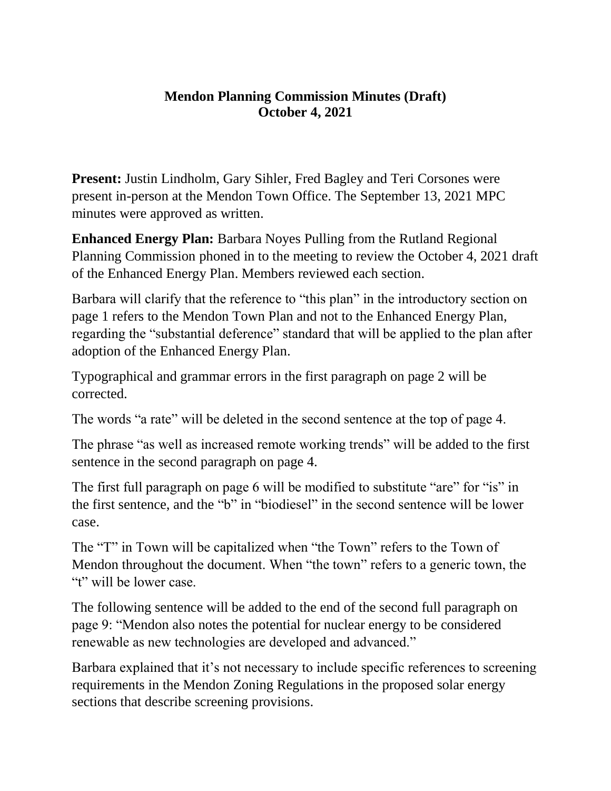## **Mendon Planning Commission Minutes (Draft) October 4, 2021**

**Present:** Justin Lindholm, Gary Sihler, Fred Bagley and Teri Corsones were present in-person at the Mendon Town Office. The September 13, 2021 MPC minutes were approved as written.

**Enhanced Energy Plan:** Barbara Noyes Pulling from the Rutland Regional Planning Commission phoned in to the meeting to review the October 4, 2021 draft of the Enhanced Energy Plan. Members reviewed each section.

Barbara will clarify that the reference to "this plan" in the introductory section on page 1 refers to the Mendon Town Plan and not to the Enhanced Energy Plan, regarding the "substantial deference" standard that will be applied to the plan after adoption of the Enhanced Energy Plan.

Typographical and grammar errors in the first paragraph on page 2 will be corrected.

The words "a rate" will be deleted in the second sentence at the top of page 4.

The phrase "as well as increased remote working trends" will be added to the first sentence in the second paragraph on page 4.

The first full paragraph on page 6 will be modified to substitute "are" for "is" in the first sentence, and the "b" in "biodiesel" in the second sentence will be lower case.

The "T" in Town will be capitalized when "the Town" refers to the Town of Mendon throughout the document. When "the town" refers to a generic town, the "t" will be lower case.

The following sentence will be added to the end of the second full paragraph on page 9: "Mendon also notes the potential for nuclear energy to be considered renewable as new technologies are developed and advanced."

Barbara explained that it's not necessary to include specific references to screening requirements in the Mendon Zoning Regulations in the proposed solar energy sections that describe screening provisions.